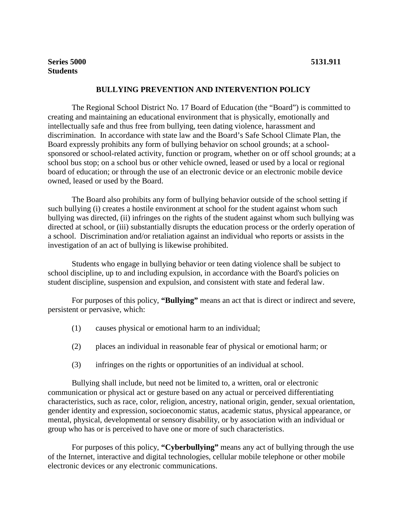## **BULLYING PREVENTION AND INTERVENTION POLICY**

The Regional School District No. 17 Board of Education (the "Board") is committed to creating and maintaining an educational environment that is physically, emotionally and intellectually safe and thus free from bullying, teen dating violence, harassment and discrimination. In accordance with state law and the Board's Safe School Climate Plan, the Board expressly prohibits any form of bullying behavior on school grounds; at a schoolsponsored or school-related activity, function or program, whether on or off school grounds; at a school bus stop; on a school bus or other vehicle owned, leased or used by a local or regional board of education; or through the use of an electronic device or an electronic mobile device owned, leased or used by the Board.

The Board also prohibits any form of bullying behavior outside of the school setting if such bullying (i) creates a hostile environment at school for the student against whom such bullying was directed, (ii) infringes on the rights of the student against whom such bullying was directed at school, or (iii) substantially disrupts the education process or the orderly operation of a school. Discrimination and/or retaliation against an individual who reports or assists in the investigation of an act of bullying is likewise prohibited.

Students who engage in bullying behavior or teen dating violence shall be subject to school discipline, up to and including expulsion, in accordance with the Board's policies on student discipline, suspension and expulsion, and consistent with state and federal law.

For purposes of this policy, **"Bullying"** means an act that is direct or indirect and severe, persistent or pervasive, which:

- (1) causes physical or emotional harm to an individual;
- (2) places an individual in reasonable fear of physical or emotional harm; or
- (3) infringes on the rights or opportunities of an individual at school.

Bullying shall include, but need not be limited to, a written, oral or electronic communication or physical act or gesture based on any actual or perceived differentiating characteristics, such as race, color, religion, ancestry, national origin, gender, sexual orientation, gender identity and expression, socioeconomic status, academic status, physical appearance, or mental, physical, developmental or sensory disability, or by association with an individual or group who has or is perceived to have one or more of such characteristics.

For purposes of this policy, **"Cyberbullying"** means any act of bullying through the use of the Internet, interactive and digital technologies, cellular mobile telephone or other mobile electronic devices or any electronic communications.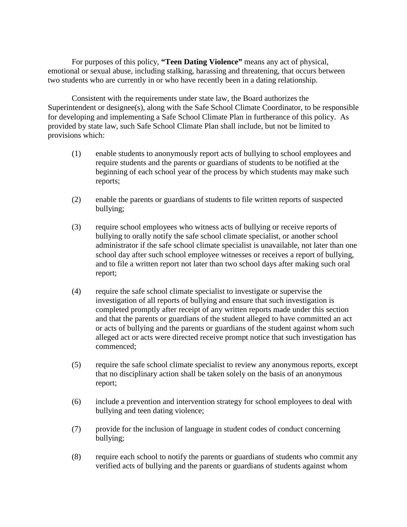For purposes of this policy, **"Teen Dating Violence"** means any act of physical, emotional or sexual abuse, including stalking, harassing and threatening, that occurs between two students who are currently in or who have recently been in a dating relationship.

Consistent with the requirements under state law, the Board authorizes the Superintendent or designee(s), along with the Safe School Climate Coordinator, to be responsible for developing and implementing a Safe School Climate Plan in furtherance of this policy. As provided by state law, such Safe School Climate Plan shall include, but not be limited to provisions which:

- (1) enable students to anonymously report acts of bullying to school employees and require students and the parents or guardians of students to be notified at the beginning of each school year of the process by which students may make such reports;
- (2) enable the parents or guardians of students to file written reports of suspected bullying;
- (3) require school employees who witness acts of bullying or receive reports of bullying to orally notify the safe school climate specialist, or another school administrator if the safe school climate specialist is unavailable, not later than one school day after such school employee witnesses or receives a report of bullying, and to file a written report not later than two school days after making such oral report;
- (4) require the safe school climate specialist to investigate or supervise the investigation of all reports of bullying and ensure that such investigation is completed promptly after receipt of any written reports made under this section and that the parents or guardians of the student alleged to have committed an act or acts of bullying and the parents or guardians of the student against whom such alleged act or acts were directed receive prompt notice that such investigation has commenced;
- (5) require the safe school climate specialist to review any anonymous reports, except that no disciplinary action shall be taken solely on the basis of an anonymous report;
- (6) include a prevention and intervention strategy for school employees to deal with bullying and teen dating violence;
- (7) provide for the inclusion of language in student codes of conduct concerning bullying;
- (8) require each school to notify the parents or guardians of students who commit any verified acts of bullying and the parents or guardians of students against whom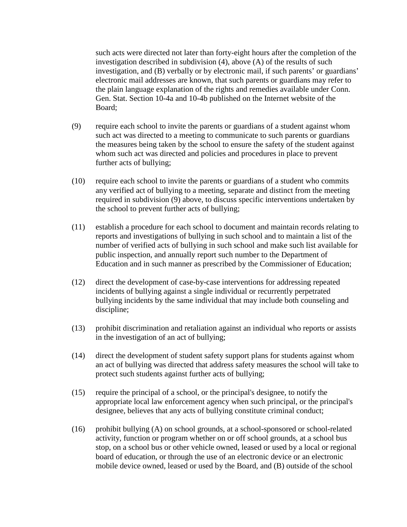such acts were directed not later than forty-eight hours after the completion of the investigation described in subdivision (4), above (A) of the results of such investigation, and (B) verbally or by electronic mail, if such parents' or guardians' electronic mail addresses are known, that such parents or guardians may refer to the plain language explanation of the rights and remedies available under Conn. Gen. Stat. Section 10-4a and 10-4b published on the Internet website of the Board;

- (9) require each school to invite the parents or guardians of a student against whom such act was directed to a meeting to communicate to such parents or guardians the measures being taken by the school to ensure the safety of the student against whom such act was directed and policies and procedures in place to prevent further acts of bullying;
- (10) require each school to invite the parents or guardians of a student who commits any verified act of bullying to a meeting, separate and distinct from the meeting required in subdivision (9) above, to discuss specific interventions undertaken by the school to prevent further acts of bullying;
- (11) establish a procedure for each school to document and maintain records relating to reports and investigations of bullying in such school and to maintain a list of the number of verified acts of bullying in such school and make such list available for public inspection, and annually report such number to the Department of Education and in such manner as prescribed by the Commissioner of Education;
- (12) direct the development of case-by-case interventions for addressing repeated incidents of bullying against a single individual or recurrently perpetrated bullying incidents by the same individual that may include both counseling and discipline;
- (13) prohibit discrimination and retaliation against an individual who reports or assists in the investigation of an act of bullying;
- (14) direct the development of student safety support plans for students against whom an act of bullying was directed that address safety measures the school will take to protect such students against further acts of bullying;
- (15) require the principal of a school, or the principal's designee, to notify the appropriate local law enforcement agency when such principal, or the principal's designee, believes that any acts of bullying constitute criminal conduct;
- (16) prohibit bullying (A) on school grounds, at a school-sponsored or school-related activity, function or program whether on or off school grounds, at a school bus stop, on a school bus or other vehicle owned, leased or used by a local or regional board of education, or through the use of an electronic device or an electronic mobile device owned, leased or used by the Board, and (B) outside of the school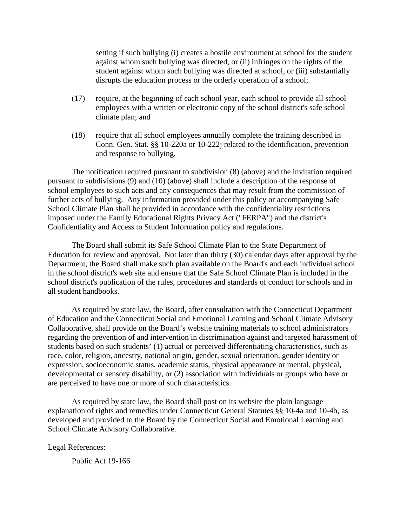setting if such bullying (i) creates a hostile environment at school for the student against whom such bullying was directed, or (ii) infringes on the rights of the student against whom such bullying was directed at school, or (iii) substantially disrupts the education process or the orderly operation of a school;

- (17) require, at the beginning of each school year, each school to provide all school employees with a written or electronic copy of the school district's safe school climate plan; and
- (18) require that all school employees annually complete the training described in Conn. Gen. Stat. §§ 10-220a or 10-222j related to the identification, prevention and response to bullying.

The notification required pursuant to subdivision (8) (above) and the invitation required pursuant to subdivisions (9) and (10) (above) shall include a description of the response of school employees to such acts and any consequences that may result from the commission of further acts of bullying. Any information provided under this policy or accompanying Safe School Climate Plan shall be provided in accordance with the confidentiality restrictions imposed under the Family Educational Rights Privacy Act ("FERPA") and the district's Confidentiality and Access to Student Information policy and regulations.

The Board shall submit its Safe School Climate Plan to the State Department of Education for review and approval. Not later than thirty (30) calendar days after approval by the Department, the Board shall make such plan available on the Board's and each individual school in the school district's web site and ensure that the Safe School Climate Plan is included in the school district's publication of the rules, procedures and standards of conduct for schools and in all student handbooks.

As required by state law, the Board, after consultation with the Connecticut Department of Education and the Connecticut Social and Emotional Learning and School Climate Advisory Collaborative, shall provide on the Board's website training materials to school administrators regarding the prevention of and intervention in discrimination against and targeted harassment of students based on such students' (1) actual or perceived differentiating characteristics, such as race, color, religion, ancestry, national origin, gender, sexual orientation, gender identity or expression, socioeconomic status, academic status, physical appearance or mental, physical, developmental or sensory disability, or (2) association with individuals or groups who have or are perceived to have one or more of such characteristics.

As required by state law, the Board shall post on its website the plain language explanation of rights and remedies under Connecticut General Statutes §§ 10-4a and 10-4b, as developed and provided to the Board by the Connecticut Social and Emotional Learning and School Climate Advisory Collaborative.

Legal References:

Public Act 19-166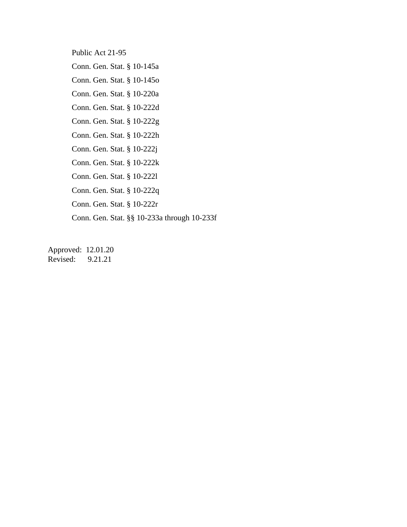Public Act 21-95

Conn. Gen. Stat. § 10-145a

Conn. Gen. Stat. § 10-145o

Conn. Gen. Stat. § 10-220a

Conn. Gen. Stat. § 10-222d

Conn. Gen. Stat. § 10-222g

Conn. Gen. Stat. § 10-222h

Conn. Gen. Stat. § 10-222j

Conn. Gen. Stat. § 10-222k

Conn. Gen. Stat. § 10-222l

Conn. Gen. Stat. § 10-222q

Conn. Gen. Stat. § 10-222r

Conn. Gen. Stat. §§ 10-233a through 10-233f

Approved: 12.01.20 Revised: 9.21.21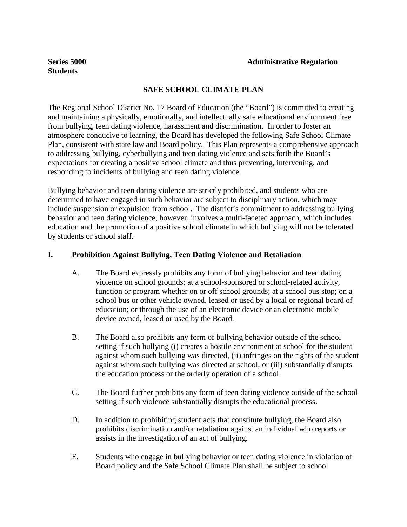# **Students**

# **SAFE SCHOOL CLIMATE PLAN**

The Regional School District No. 17 Board of Education (the "Board") is committed to creating and maintaining a physically, emotionally, and intellectually safe educational environment free from bullying, teen dating violence, harassment and discrimination. In order to foster an atmosphere conducive to learning, the Board has developed the following Safe School Climate Plan, consistent with state law and Board policy. This Plan represents a comprehensive approach to addressing bullying, cyberbullying and teen dating violence and sets forth the Board's expectations for creating a positive school climate and thus preventing, intervening, and responding to incidents of bullying and teen dating violence.

Bullying behavior and teen dating violence are strictly prohibited, and students who are determined to have engaged in such behavior are subject to disciplinary action, which may include suspension or expulsion from school. The district's commitment to addressing bullying behavior and teen dating violence, however, involves a multi-faceted approach, which includes education and the promotion of a positive school climate in which bullying will not be tolerated by students or school staff.

# **I. Prohibition Against Bullying, Teen Dating Violence and Retaliation**

- A. The Board expressly prohibits any form of bullying behavior and teen dating violence on school grounds; at a school-sponsored or school-related activity, function or program whether on or off school grounds; at a school bus stop; on a school bus or other vehicle owned, leased or used by a local or regional board of education; or through the use of an electronic device or an electronic mobile device owned, leased or used by the Board.
- B. The Board also prohibits any form of bullying behavior outside of the school setting if such bullying (i) creates a hostile environment at school for the student against whom such bullying was directed, (ii) infringes on the rights of the student against whom such bullying was directed at school, or (iii) substantially disrupts the education process or the orderly operation of a school.
- C. The Board further prohibits any form of teen dating violence outside of the school setting if such violence substantially disrupts the educational process.
- D. In addition to prohibiting student acts that constitute bullying, the Board also prohibits discrimination and/or retaliation against an individual who reports or assists in the investigation of an act of bullying.
- E. Students who engage in bullying behavior or teen dating violence in violation of Board policy and the Safe School Climate Plan shall be subject to school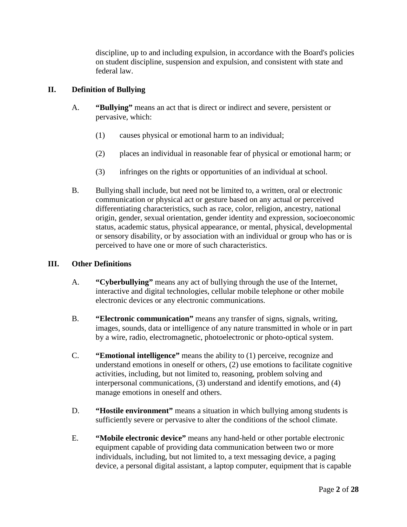discipline, up to and including expulsion, in accordance with the Board's policies on student discipline, suspension and expulsion, and consistent with state and federal law.

# **II. Definition of Bullying**

- A. **"Bullying"** means an act that is direct or indirect and severe, persistent or pervasive, which:
	- (1) causes physical or emotional harm to an individual;
	- (2) places an individual in reasonable fear of physical or emotional harm; or
	- (3) infringes on the rights or opportunities of an individual at school.
- B. Bullying shall include, but need not be limited to, a written, oral or electronic communication or physical act or gesture based on any actual or perceived differentiating characteristics, such as race, color, religion, ancestry, national origin, gender, sexual orientation, gender identity and expression, socioeconomic status, academic status, physical appearance, or mental, physical, developmental or sensory disability, or by association with an individual or group who has or is perceived to have one or more of such characteristics.

# **III. Other Definitions**

- A. **"Cyberbullying"** means any act of bullying through the use of the Internet, interactive and digital technologies, cellular mobile telephone or other mobile electronic devices or any electronic communications.
- B. **"Electronic communication"** means any transfer of signs, signals, writing, images, sounds, data or intelligence of any nature transmitted in whole or in part by a wire, radio, electromagnetic, photoelectronic or photo-optical system.
- C. **"Emotional intelligence"** means the ability to (1) perceive, recognize and understand emotions in oneself or others, (2) use emotions to facilitate cognitive activities, including, but not limited to, reasoning, problem solving and interpersonal communications, (3) understand and identify emotions, and (4) manage emotions in oneself and others.
- D. **"Hostile environment"** means a situation in which bullying among students is sufficiently severe or pervasive to alter the conditions of the school climate.
- E. **"Mobile electronic device"** means any hand-held or other portable electronic equipment capable of providing data communication between two or more individuals, including, but not limited to, a text messaging device, a paging device, a personal digital assistant, a laptop computer, equipment that is capable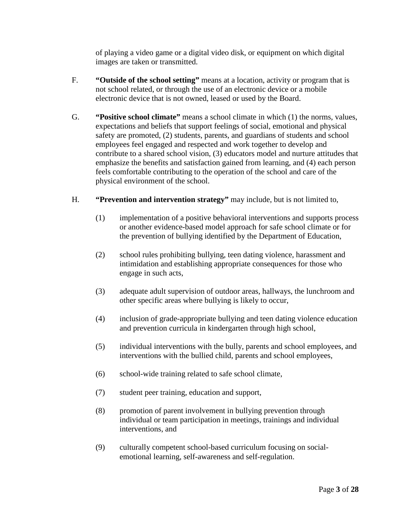of playing a video game or a digital video disk, or equipment on which digital images are taken or transmitted.

- F. **"Outside of the school setting"** means at a location, activity or program that is not school related, or through the use of an electronic device or a mobile electronic device that is not owned, leased or used by the Board.
- G. **"Positive school climate"** means a school climate in which (1) the norms, values, expectations and beliefs that support feelings of social, emotional and physical safety are promoted, (2) students, parents, and guardians of students and school employees feel engaged and respected and work together to develop and contribute to a shared school vision, (3) educators model and nurture attitudes that emphasize the benefits and satisfaction gained from learning, and (4) each person feels comfortable contributing to the operation of the school and care of the physical environment of the school.
- H. **"Prevention and intervention strategy"** may include, but is not limited to,
	- (1) implementation of a positive behavioral interventions and supports process or another evidence-based model approach for safe school climate or for the prevention of bullying identified by the Department of Education,
	- (2) school rules prohibiting bullying, teen dating violence, harassment and intimidation and establishing appropriate consequences for those who engage in such acts,
	- (3) adequate adult supervision of outdoor areas, hallways, the lunchroom and other specific areas where bullying is likely to occur,
	- (4) inclusion of grade-appropriate bullying and teen dating violence education and prevention curricula in kindergarten through high school,
	- (5) individual interventions with the bully, parents and school employees, and interventions with the bullied child, parents and school employees,
	- (6) school-wide training related to safe school climate,
	- (7) student peer training, education and support,
	- (8) promotion of parent involvement in bullying prevention through individual or team participation in meetings, trainings and individual interventions, and
	- (9) culturally competent school-based curriculum focusing on socialemotional learning, self-awareness and self-regulation.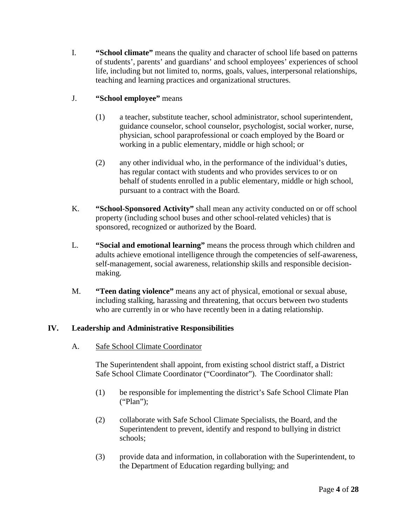- I. **"School climate"** means the quality and character of school life based on patterns of students', parents' and guardians' and school employees' experiences of school life, including but not limited to, norms, goals, values, interpersonal relationships, teaching and learning practices and organizational structures.
- J. **"School employee"** means
	- (1) a teacher, substitute teacher, school administrator, school superintendent, guidance counselor, school counselor, psychologist, social worker, nurse, physician, school paraprofessional or coach employed by the Board or working in a public elementary, middle or high school; or
	- (2) any other individual who, in the performance of the individual's duties, has regular contact with students and who provides services to or on behalf of students enrolled in a public elementary, middle or high school, pursuant to a contract with the Board.
- K. **"School-Sponsored Activity"** shall mean any activity conducted on or off school property (including school buses and other school-related vehicles) that is sponsored, recognized or authorized by the Board.
- L. **"Social and emotional learning"** means the process through which children and adults achieve emotional intelligence through the competencies of self-awareness, self-management, social awareness, relationship skills and responsible decisionmaking.
- M. **"Teen dating violence"** means any act of physical, emotional or sexual abuse, including stalking, harassing and threatening, that occurs between two students who are currently in or who have recently been in a dating relationship.

# **IV. Leadership and Administrative Responsibilities**

A. Safe School Climate Coordinator

The Superintendent shall appoint, from existing school district staff, a District Safe School Climate Coordinator ("Coordinator"). The Coordinator shall:

- (1) be responsible for implementing the district's Safe School Climate Plan ("Plan");
- (2) collaborate with Safe School Climate Specialists, the Board, and the Superintendent to prevent, identify and respond to bullying in district schools;
- (3) provide data and information, in collaboration with the Superintendent, to the Department of Education regarding bullying; and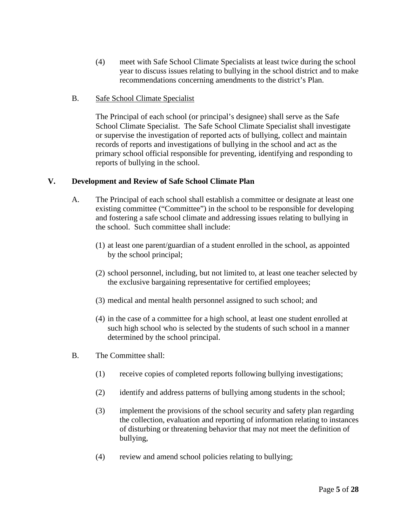- (4) meet with Safe School Climate Specialists at least twice during the school year to discuss issues relating to bullying in the school district and to make recommendations concerning amendments to the district's Plan.
- B. Safe School Climate Specialist

The Principal of each school (or principal's designee) shall serve as the Safe School Climate Specialist. The Safe School Climate Specialist shall investigate or supervise the investigation of reported acts of bullying, collect and maintain records of reports and investigations of bullying in the school and act as the primary school official responsible for preventing, identifying and responding to reports of bullying in the school.

## **V. Development and Review of Safe School Climate Plan**

- A. The Principal of each school shall establish a committee or designate at least one existing committee ("Committee") in the school to be responsible for developing and fostering a safe school climate and addressing issues relating to bullying in the school. Such committee shall include:
	- (1) at least one parent/guardian of a student enrolled in the school, as appointed by the school principal;
	- (2) school personnel, including, but not limited to, at least one teacher selected by the exclusive bargaining representative for certified employees;
	- (3) medical and mental health personnel assigned to such school; and
	- (4) in the case of a committee for a high school, at least one student enrolled at such high school who is selected by the students of such school in a manner determined by the school principal.
- B. The Committee shall:
	- (1) receive copies of completed reports following bullying investigations;
	- (2) identify and address patterns of bullying among students in the school;
	- (3) implement the provisions of the school security and safety plan regarding the collection, evaluation and reporting of information relating to instances of disturbing or threatening behavior that may not meet the definition of bullying,
	- (4) review and amend school policies relating to bullying;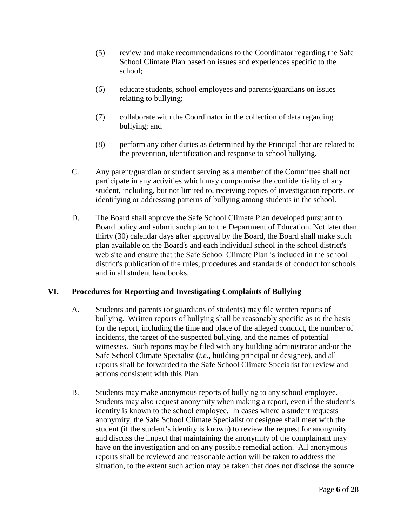- (5) review and make recommendations to the Coordinator regarding the Safe School Climate Plan based on issues and experiences specific to the school;
- (6) educate students, school employees and parents/guardians on issues relating to bullying;
- (7) collaborate with the Coordinator in the collection of data regarding bullying; and
- (8) perform any other duties as determined by the Principal that are related to the prevention, identification and response to school bullying.
- C. Any parent/guardian or student serving as a member of the Committee shall not participate in any activities which may compromise the confidentiality of any student, including, but not limited to, receiving copies of investigation reports, or identifying or addressing patterns of bullying among students in the school.
- D. The Board shall approve the Safe School Climate Plan developed pursuant to Board policy and submit such plan to the Department of Education. Not later than thirty (30) calendar days after approval by the Board, the Board shall make such plan available on the Board's and each individual school in the school district's web site and ensure that the Safe School Climate Plan is included in the school district's publication of the rules, procedures and standards of conduct for schools and in all student handbooks.

# **VI. Procedures for Reporting and Investigating Complaints of Bullying**

- A. Students and parents (or guardians of students) may file written reports of bullying. Written reports of bullying shall be reasonably specific as to the basis for the report, including the time and place of the alleged conduct, the number of incidents, the target of the suspected bullying, and the names of potential witnesses. Such reports may be filed with any building administrator and/or the Safe School Climate Specialist (*i.e.,* building principal or designee), and all reports shall be forwarded to the Safe School Climate Specialist for review and actions consistent with this Plan.
- B. Students may make anonymous reports of bullying to any school employee. Students may also request anonymity when making a report, even if the student's identity is known to the school employee. In cases where a student requests anonymity, the Safe School Climate Specialist or designee shall meet with the student (if the student's identity is known) to review the request for anonymity and discuss the impact that maintaining the anonymity of the complainant may have on the investigation and on any possible remedial action. All anonymous reports shall be reviewed and reasonable action will be taken to address the situation, to the extent such action may be taken that does not disclose the source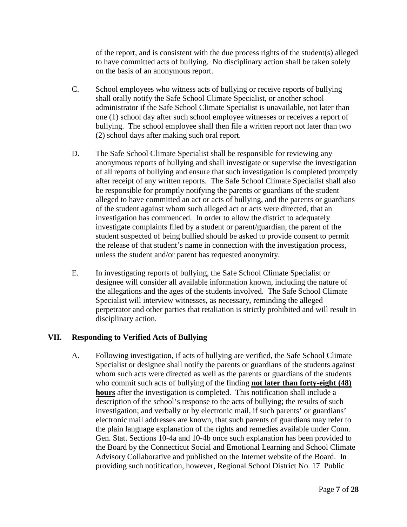of the report, and is consistent with the due process rights of the student(s) alleged to have committed acts of bullying. No disciplinary action shall be taken solely on the basis of an anonymous report.

- C. School employees who witness acts of bullying or receive reports of bullying shall orally notify the Safe School Climate Specialist, or another school administrator if the Safe School Climate Specialist is unavailable, not later than one (1) school day after such school employee witnesses or receives a report of bullying. The school employee shall then file a written report not later than two (2) school days after making such oral report.
- D. The Safe School Climate Specialist shall be responsible for reviewing any anonymous reports of bullying and shall investigate or supervise the investigation of all reports of bullying and ensure that such investigation is completed promptly after receipt of any written reports. The Safe School Climate Specialist shall also be responsible for promptly notifying the parents or guardians of the student alleged to have committed an act or acts of bullying, and the parents or guardians of the student against whom such alleged act or acts were directed, that an investigation has commenced. In order to allow the district to adequately investigate complaints filed by a student or parent/guardian, the parent of the student suspected of being bullied should be asked to provide consent to permit the release of that student's name in connection with the investigation process, unless the student and/or parent has requested anonymity.
- E. In investigating reports of bullying, the Safe School Climate Specialist or designee will consider all available information known, including the nature of the allegations and the ages of the students involved. The Safe School Climate Specialist will interview witnesses, as necessary, reminding the alleged perpetrator and other parties that retaliation is strictly prohibited and will result in disciplinary action.

# **VII. Responding to Verified Acts of Bullying**

A. Following investigation, if acts of bullying are verified, the Safe School Climate Specialist or designee shall notify the parents or guardians of the students against whom such acts were directed as well as the parents or guardians of the students who commit such acts of bullying of the finding **not later than forty-eight (48) hours** after the investigation is completed. This notification shall include a description of the school's response to the acts of bullying; the results of such investigation; and verbally or by electronic mail, if such parents' or guardians' electronic mail addresses are known, that such parents of guardians may refer to the plain language explanation of the rights and remedies available under Conn. Gen. Stat. Sections 10-4a and 10-4b once such explanation has been provided to the Board by the Connecticut Social and Emotional Learning and School Climate Advisory Collaborative and published on the Internet website of the Board. In providing such notification, however, Regional School District No. 17 Public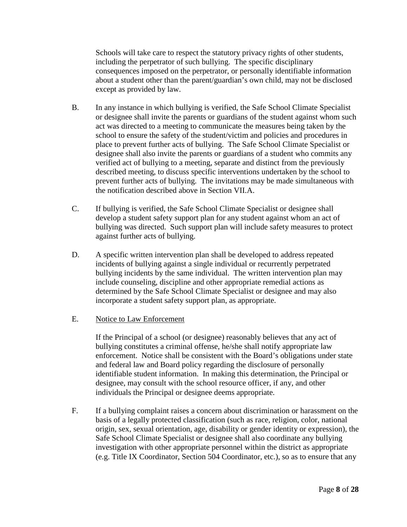Schools will take care to respect the statutory privacy rights of other students, including the perpetrator of such bullying. The specific disciplinary consequences imposed on the perpetrator, or personally identifiable information about a student other than the parent/guardian's own child, may not be disclosed except as provided by law.

- B. In any instance in which bullying is verified, the Safe School Climate Specialist or designee shall invite the parents or guardians of the student against whom such act was directed to a meeting to communicate the measures being taken by the school to ensure the safety of the student/victim and policies and procedures in place to prevent further acts of bullying. The Safe School Climate Specialist or designee shall also invite the parents or guardians of a student who commits any verified act of bullying to a meeting, separate and distinct from the previously described meeting, to discuss specific interventions undertaken by the school to prevent further acts of bullying. The invitations may be made simultaneous with the notification described above in Section VII.A.
- C. If bullying is verified, the Safe School Climate Specialist or designee shall develop a student safety support plan for any student against whom an act of bullying was directed. Such support plan will include safety measures to protect against further acts of bullying.
- D. A specific written intervention plan shall be developed to address repeated incidents of bullying against a single individual or recurrently perpetrated bullying incidents by the same individual. The written intervention plan may include counseling, discipline and other appropriate remedial actions as determined by the Safe School Climate Specialist or designee and may also incorporate a student safety support plan, as appropriate.

## E. Notice to Law Enforcement

If the Principal of a school (or designee) reasonably believes that any act of bullying constitutes a criminal offense, he/she shall notify appropriate law enforcement. Notice shall be consistent with the Board's obligations under state and federal law and Board policy regarding the disclosure of personally identifiable student information. In making this determination, the Principal or designee, may consult with the school resource officer, if any, and other individuals the Principal or designee deems appropriate.

F. If a bullying complaint raises a concern about discrimination or harassment on the basis of a legally protected classification (such as race, religion, color, national origin, sex, sexual orientation, age, disability or gender identity or expression), the Safe School Climate Specialist or designee shall also coordinate any bullying investigation with other appropriate personnel within the district as appropriate (e.g. Title IX Coordinator, Section 504 Coordinator, etc.), so as to ensure that any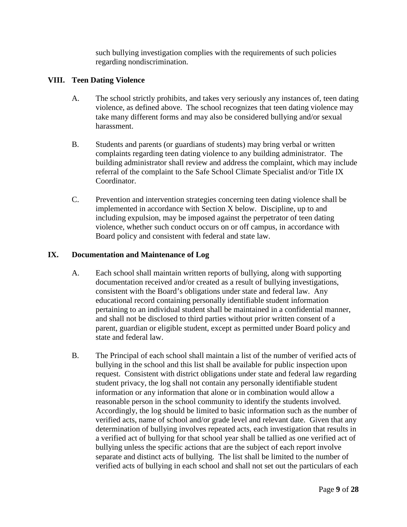such bullying investigation complies with the requirements of such policies regarding nondiscrimination.

## **VIII. Teen Dating Violence**

- A. The school strictly prohibits, and takes very seriously any instances of, teen dating violence, as defined above. The school recognizes that teen dating violence may take many different forms and may also be considered bullying and/or sexual harassment.
- B. Students and parents (or guardians of students) may bring verbal or written complaints regarding teen dating violence to any building administrator. The building administrator shall review and address the complaint, which may include referral of the complaint to the Safe School Climate Specialist and/or Title IX Coordinator.
- C. Prevention and intervention strategies concerning teen dating violence shall be implemented in accordance with Section X below. Discipline, up to and including expulsion, may be imposed against the perpetrator of teen dating violence, whether such conduct occurs on or off campus, in accordance with Board policy and consistent with federal and state law.

## **IX. Documentation and Maintenance of Log**

- A. Each school shall maintain written reports of bullying, along with supporting documentation received and/or created as a result of bullying investigations, consistent with the Board's obligations under state and federal law. Any educational record containing personally identifiable student information pertaining to an individual student shall be maintained in a confidential manner, and shall not be disclosed to third parties without prior written consent of a parent, guardian or eligible student, except as permitted under Board policy and state and federal law.
- B. The Principal of each school shall maintain a list of the number of verified acts of bullying in the school and this list shall be available for public inspection upon request. Consistent with district obligations under state and federal law regarding student privacy, the log shall not contain any personally identifiable student information or any information that alone or in combination would allow a reasonable person in the school community to identify the students involved. Accordingly, the log should be limited to basic information such as the number of verified acts, name of school and/or grade level and relevant date. Given that any determination of bullying involves repeated acts, each investigation that results in a verified act of bullying for that school year shall be tallied as one verified act of bullying unless the specific actions that are the subject of each report involve separate and distinct acts of bullying. The list shall be limited to the number of verified acts of bullying in each school and shall not set out the particulars of each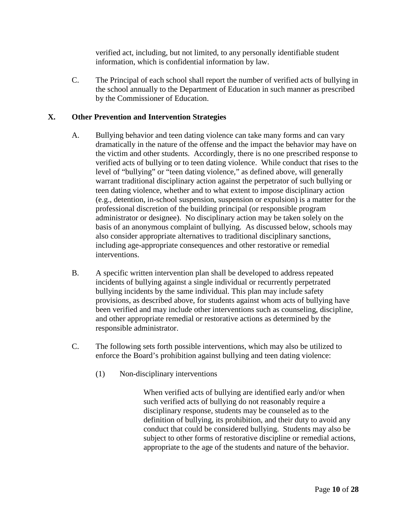verified act, including, but not limited, to any personally identifiable student information, which is confidential information by law.

C. The Principal of each school shall report the number of verified acts of bullying in the school annually to the Department of Education in such manner as prescribed by the Commissioner of Education.

# **X. Other Prevention and Intervention Strategies**

- A. Bullying behavior and teen dating violence can take many forms and can vary dramatically in the nature of the offense and the impact the behavior may have on the victim and other students. Accordingly, there is no one prescribed response to verified acts of bullying or to teen dating violence. While conduct that rises to the level of "bullying" or "teen dating violence," as defined above, will generally warrant traditional disciplinary action against the perpetrator of such bullying or teen dating violence, whether and to what extent to impose disciplinary action (e.g., detention, in-school suspension, suspension or expulsion) is a matter for the professional discretion of the building principal (or responsible program administrator or designee). No disciplinary action may be taken solely on the basis of an anonymous complaint of bullying. As discussed below, schools may also consider appropriate alternatives to traditional disciplinary sanctions, including age-appropriate consequences and other restorative or remedial interventions.
- B. A specific written intervention plan shall be developed to address repeated incidents of bullying against a single individual or recurrently perpetrated bullying incidents by the same individual. This plan may include safety provisions, as described above, for students against whom acts of bullying have been verified and may include other interventions such as counseling, discipline, and other appropriate remedial or restorative actions as determined by the responsible administrator.
- C. The following sets forth possible interventions, which may also be utilized to enforce the Board's prohibition against bullying and teen dating violence:
	- (1) Non-disciplinary interventions

When verified acts of bullying are identified early and/or when such verified acts of bullying do not reasonably require a disciplinary response, students may be counseled as to the definition of bullying, its prohibition, and their duty to avoid any conduct that could be considered bullying. Students may also be subject to other forms of restorative discipline or remedial actions, appropriate to the age of the students and nature of the behavior.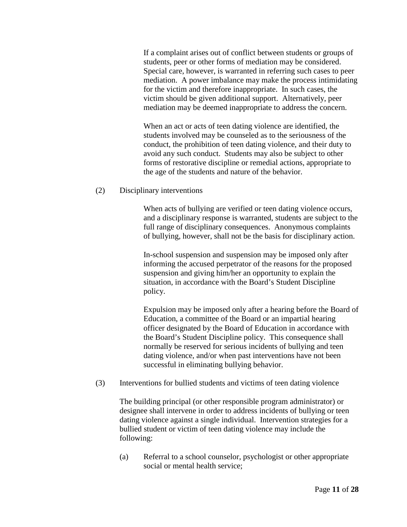If a complaint arises out of conflict between students or groups of students, peer or other forms of mediation may be considered. Special care, however, is warranted in referring such cases to peer mediation. A power imbalance may make the process intimidating for the victim and therefore inappropriate. In such cases, the victim should be given additional support. Alternatively, peer mediation may be deemed inappropriate to address the concern.

When an act or acts of teen dating violence are identified, the students involved may be counseled as to the seriousness of the conduct, the prohibition of teen dating violence, and their duty to avoid any such conduct. Students may also be subject to other forms of restorative discipline or remedial actions, appropriate to the age of the students and nature of the behavior.

#### (2) Disciplinary interventions

When acts of bullying are verified or teen dating violence occurs, and a disciplinary response is warranted, students are subject to the full range of disciplinary consequences. Anonymous complaints of bullying, however, shall not be the basis for disciplinary action.

In-school suspension and suspension may be imposed only after informing the accused perpetrator of the reasons for the proposed suspension and giving him/her an opportunity to explain the situation, in accordance with the Board's Student Discipline policy.

Expulsion may be imposed only after a hearing before the Board of Education, a committee of the Board or an impartial hearing officer designated by the Board of Education in accordance with the Board's Student Discipline policy. This consequence shall normally be reserved for serious incidents of bullying and teen dating violence, and/or when past interventions have not been successful in eliminating bullying behavior.

(3) Interventions for bullied students and victims of teen dating violence

The building principal (or other responsible program administrator) or designee shall intervene in order to address incidents of bullying or teen dating violence against a single individual. Intervention strategies for a bullied student or victim of teen dating violence may include the following:

(a) Referral to a school counselor, psychologist or other appropriate social or mental health service;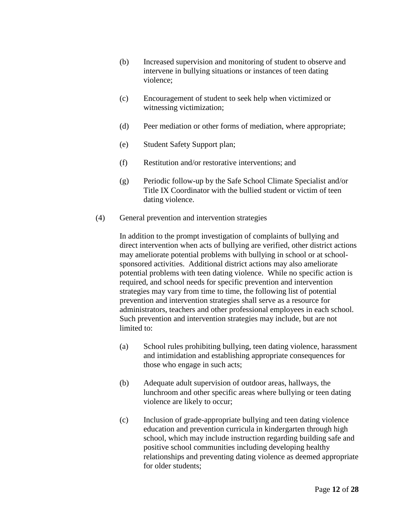- (b) Increased supervision and monitoring of student to observe and intervene in bullying situations or instances of teen dating violence;
- (c) Encouragement of student to seek help when victimized or witnessing victimization;
- (d) Peer mediation or other forms of mediation, where appropriate;
- (e) Student Safety Support plan;
- (f) Restitution and/or restorative interventions; and
- (g) Periodic follow-up by the Safe School Climate Specialist and/or Title IX Coordinator with the bullied student or victim of teen dating violence.
- (4) General prevention and intervention strategies

In addition to the prompt investigation of complaints of bullying and direct intervention when acts of bullying are verified, other district actions may ameliorate potential problems with bullying in school or at schoolsponsored activities. Additional district actions may also ameliorate potential problems with teen dating violence. While no specific action is required, and school needs for specific prevention and intervention strategies may vary from time to time, the following list of potential prevention and intervention strategies shall serve as a resource for administrators, teachers and other professional employees in each school. Such prevention and intervention strategies may include, but are not limited to:

- (a) School rules prohibiting bullying, teen dating violence, harassment and intimidation and establishing appropriate consequences for those who engage in such acts;
- (b) Adequate adult supervision of outdoor areas, hallways, the lunchroom and other specific areas where bullying or teen dating violence are likely to occur;
- (c) Inclusion of grade-appropriate bullying and teen dating violence education and prevention curricula in kindergarten through high school, which may include instruction regarding building safe and positive school communities including developing healthy relationships and preventing dating violence as deemed appropriate for older students;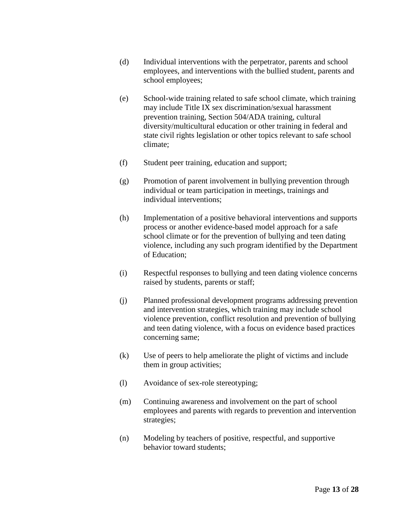- (d) Individual interventions with the perpetrator, parents and school employees, and interventions with the bullied student, parents and school employees;
- (e) School-wide training related to safe school climate, which training may include Title IX sex discrimination/sexual harassment prevention training, Section 504/ADA training, cultural diversity/multicultural education or other training in federal and state civil rights legislation or other topics relevant to safe school climate;
- (f) Student peer training, education and support;
- (g) Promotion of parent involvement in bullying prevention through individual or team participation in meetings, trainings and individual interventions;
- (h) Implementation of a positive behavioral interventions and supports process or another evidence-based model approach for a safe school climate or for the prevention of bullying and teen dating violence, including any such program identified by the Department of Education;
- (i) Respectful responses to bullying and teen dating violence concerns raised by students, parents or staff;
- (j) Planned professional development programs addressing prevention and intervention strategies, which training may include school violence prevention, conflict resolution and prevention of bullying and teen dating violence, with a focus on evidence based practices concerning same;
- (k) Use of peers to help ameliorate the plight of victims and include them in group activities;
- (l) Avoidance of sex-role stereotyping;
- (m) Continuing awareness and involvement on the part of school employees and parents with regards to prevention and intervention strategies;
- (n) Modeling by teachers of positive, respectful, and supportive behavior toward students;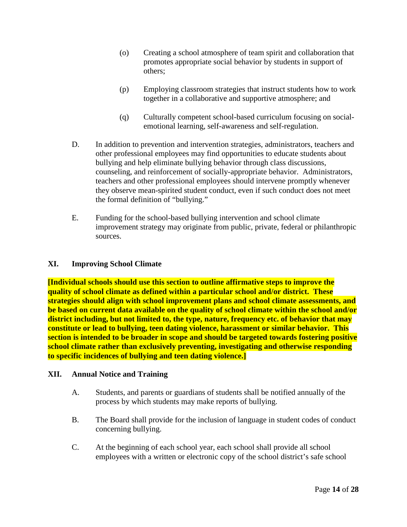- (o) Creating a school atmosphere of team spirit and collaboration that promotes appropriate social behavior by students in support of others;
- (p) Employing classroom strategies that instruct students how to work together in a collaborative and supportive atmosphere; and
- (q) Culturally competent school-based curriculum focusing on socialemotional learning, self-awareness and self-regulation.
- D. In addition to prevention and intervention strategies, administrators, teachers and other professional employees may find opportunities to educate students about bullying and help eliminate bullying behavior through class discussions, counseling, and reinforcement of socially-appropriate behavior. Administrators, teachers and other professional employees should intervene promptly whenever they observe mean-spirited student conduct, even if such conduct does not meet the formal definition of "bullying."
- E. Funding for the school-based bullying intervention and school climate improvement strategy may originate from public, private, federal or philanthropic sources.

## **XI. Improving School Climate**

**[Individual schools should use this section to outline affirmative steps to improve the quality of school climate as defined within a particular school and/or district. These strategies should align with school improvement plans and school climate assessments, and be based on current data available on the quality of school climate within the school and/or district including, but not limited to, the type, nature, frequency etc. of behavior that may constitute or lead to bullying, teen dating violence, harassment or similar behavior. This section is intended to be broader in scope and should be targeted towards fostering positive school climate rather than exclusively preventing, investigating and otherwise responding to specific incidences of bullying and teen dating violence.]**

#### **XII. Annual Notice and Training**

- A. Students, and parents or guardians of students shall be notified annually of the process by which students may make reports of bullying.
- B. The Board shall provide for the inclusion of language in student codes of conduct concerning bullying.
- C. At the beginning of each school year, each school shall provide all school employees with a written or electronic copy of the school district's safe school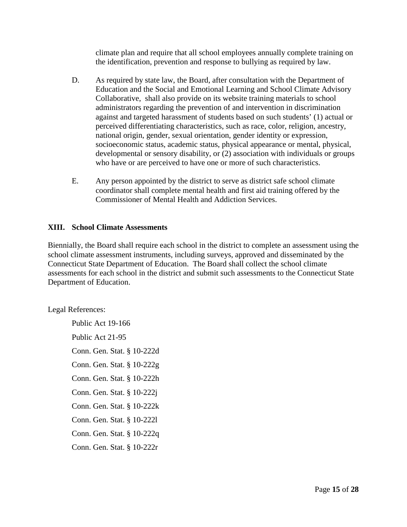climate plan and require that all school employees annually complete training on the identification, prevention and response to bullying as required by law.

- D. As required by state law, the Board, after consultation with the Department of Education and the Social and Emotional Learning and School Climate Advisory Collaborative, shall also provide on its website training materials to school administrators regarding the prevention of and intervention in discrimination against and targeted harassment of students based on such students' (1) actual or perceived differentiating characteristics, such as race, color, religion, ancestry, national origin, gender, sexual orientation, gender identity or expression, socioeconomic status, academic status, physical appearance or mental, physical, developmental or sensory disability, or (2) association with individuals or groups who have or are perceived to have one or more of such characteristics.
- E. Any person appointed by the district to serve as district safe school climate coordinator shall complete mental health and first aid training offered by the Commissioner of Mental Health and Addiction Services.

# **XIII. School Climate Assessments**

Biennially, the Board shall require each school in the district to complete an assessment using the school climate assessment instruments, including surveys, approved and disseminated by the Connecticut State Department of Education. The Board shall collect the school climate assessments for each school in the district and submit such assessments to the Connecticut State Department of Education.

Legal References:

Public Act 19-166 Public Act 21-95 Conn. Gen. Stat. § 10-222d Conn. Gen. Stat. § 10-222g Conn. Gen. Stat. § 10-222h Conn. Gen. Stat. § 10-222j Conn. Gen. Stat. § 10-222k Conn. Gen. Stat. § 10-222l Conn. Gen. Stat. § 10-222q Conn. Gen. Stat. § 10-222r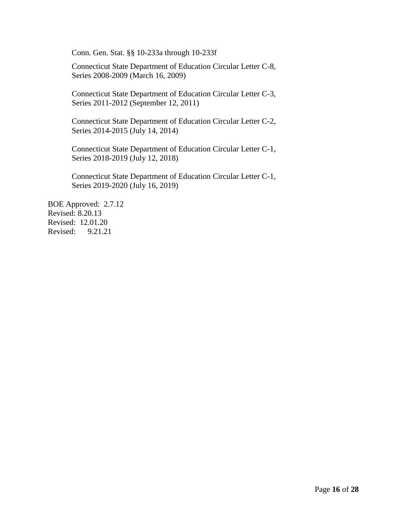Conn. Gen. Stat. §§ 10-233a through 10-233f

Connecticut State Department of Education Circular Letter C-8, Series 2008-2009 (March 16, 2009)

Connecticut State Department of Education Circular Letter C-3, Series 2011-2012 (September 12, 2011)

Connecticut State Department of Education Circular Letter C-2, Series 2014-2015 (July 14, 2014)

Connecticut State Department of Education Circular Letter C-1, Series 2018-2019 (July 12, 2018)

Connecticut State Department of Education Circular Letter C-1, Series 2019-2020 (July 16, 2019)

BOE Approved: 2.7.12 Revised: 8.20.13 Revised: 12.01.20 Revised: 9.21.21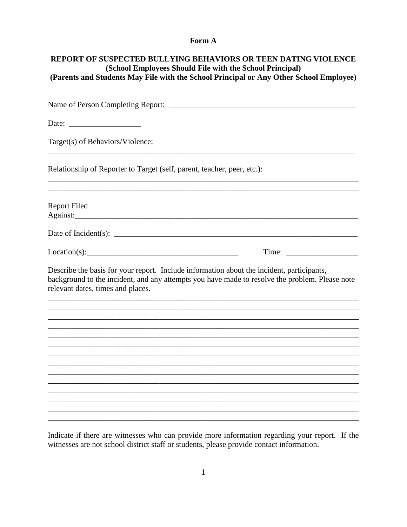## Form A

| <b>REPORT OF SUSPECTED BULLYING BEHAVIORS OR TEEN DATING VIOLENCE</b><br>(School Employees Should File with the School Principal)<br>(Parents and Students May File with the School Principal or Any Other School Employee)                                                                                                                                                                        |  |  |  |
|----------------------------------------------------------------------------------------------------------------------------------------------------------------------------------------------------------------------------------------------------------------------------------------------------------------------------------------------------------------------------------------------------|--|--|--|
|                                                                                                                                                                                                                                                                                                                                                                                                    |  |  |  |
| Date: $\frac{1}{\sqrt{1-\frac{1}{2}} \cdot \frac{1}{2}}$                                                                                                                                                                                                                                                                                                                                           |  |  |  |
| Target(s) of Behaviors/Violence:                                                                                                                                                                                                                                                                                                                                                                   |  |  |  |
| Relationship of Reporter to Target (self, parent, teacher, peer, etc.):                                                                                                                                                                                                                                                                                                                            |  |  |  |
| <b>Report Filed</b>                                                                                                                                                                                                                                                                                                                                                                                |  |  |  |
| Date of Incident(s): $\frac{1}{\sqrt{1-\frac{1}{2}}\sqrt{1-\frac{1}{2}}\sqrt{1-\frac{1}{2}}\sqrt{1-\frac{1}{2}}\sqrt{1-\frac{1}{2}}\sqrt{1-\frac{1}{2}}\sqrt{1-\frac{1}{2}}\sqrt{1-\frac{1}{2}}\sqrt{1-\frac{1}{2}}\sqrt{1-\frac{1}{2}}\sqrt{1-\frac{1}{2}}\sqrt{1-\frac{1}{2}}\sqrt{1-\frac{1}{2}}\sqrt{1-\frac{1}{2}}\sqrt{1-\frac{1}{2}}\sqrt{1-\frac{1}{2}}\sqrt{1-\frac{1}{2}}\sqrt{1-\frac{$ |  |  |  |
| Location(s):                                                                                                                                                                                                                                                                                                                                                                                       |  |  |  |
| Describe the basis for your report. Include information about the incident, participants,<br>background to the incident, and any attempts you have made to resolve the problem. Please note<br>relevant dates, times and places.                                                                                                                                                                   |  |  |  |
|                                                                                                                                                                                                                                                                                                                                                                                                    |  |  |  |
|                                                                                                                                                                                                                                                                                                                                                                                                    |  |  |  |
|                                                                                                                                                                                                                                                                                                                                                                                                    |  |  |  |
|                                                                                                                                                                                                                                                                                                                                                                                                    |  |  |  |
|                                                                                                                                                                                                                                                                                                                                                                                                    |  |  |  |
|                                                                                                                                                                                                                                                                                                                                                                                                    |  |  |  |
|                                                                                                                                                                                                                                                                                                                                                                                                    |  |  |  |
|                                                                                                                                                                                                                                                                                                                                                                                                    |  |  |  |
|                                                                                                                                                                                                                                                                                                                                                                                                    |  |  |  |
|                                                                                                                                                                                                                                                                                                                                                                                                    |  |  |  |

Indicate if there are witnesses who can provide more information regarding your report. If the witnesses are not school district staff or students, please provide contact information.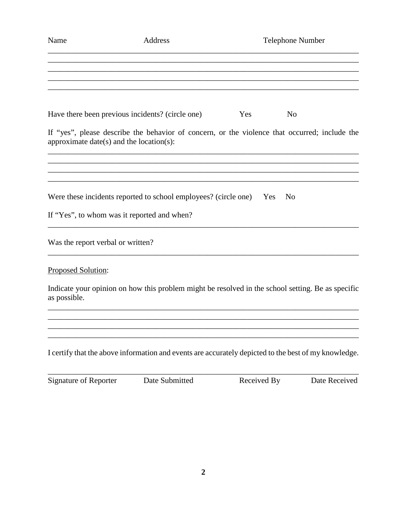| Name                                        | Address                                                                                              |                       | <b>Telephone Number</b> |  |
|---------------------------------------------|------------------------------------------------------------------------------------------------------|-----------------------|-------------------------|--|
|                                             |                                                                                                      |                       |                         |  |
|                                             | Have there been previous incidents? (circle one)                                                     | N <sub>o</sub><br>Yes |                         |  |
| approximate date(s) and the location(s):    | If "yes", please describe the behavior of concern, or the violence that occurred; include the        |                       |                         |  |
|                                             |                                                                                                      |                       |                         |  |
|                                             | Were these incidents reported to school employees? (circle one)                                      | N <sub>o</sub><br>Yes |                         |  |
| If "Yes", to whom was it reported and when? |                                                                                                      |                       |                         |  |
| Was the report verbal or written?           |                                                                                                      |                       |                         |  |
| Proposed Solution:                          |                                                                                                      |                       |                         |  |
| as possible.                                | Indicate your opinion on how this problem might be resolved in the school setting. Be as specific    |                       |                         |  |
|                                             |                                                                                                      |                       |                         |  |
|                                             | I certify that the above information and events are accurately depicted to the best of my knowledge. |                       |                         |  |
| <b>Signature of Reporter</b>                | Date Submitted                                                                                       | Received By           | Date Received           |  |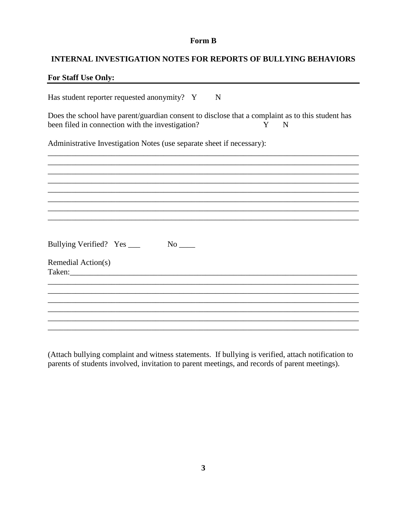## Form B

## **INTERNAL INVESTIGATION NOTES FOR REPORTS OF BULLYING BEHAVIORS**

## For Staff Use Only:

Has student reporter requested anonymity? Y  $\mathbf N$ 

Does the school have parent/guardian consent to disclose that a complaint as to this student has been filed in connection with the investigation? Y  ${\bf N}$ 

Administrative Investigation Notes (use separate sheet if necessary):

| Bullying Verified? Yes ____ | $No$ <sub>____</sub> |  |  |
|-----------------------------|----------------------|--|--|
| Remedial Action(s)          |                      |  |  |
| Taken:                      |                      |  |  |
|                             |                      |  |  |
|                             |                      |  |  |
|                             |                      |  |  |
|                             |                      |  |  |
|                             |                      |  |  |
|                             |                      |  |  |

(Attach bullying complaint and witness statements. If bullying is verified, attach notification to parents of students involved, invitation to parent meetings, and records of parent meetings).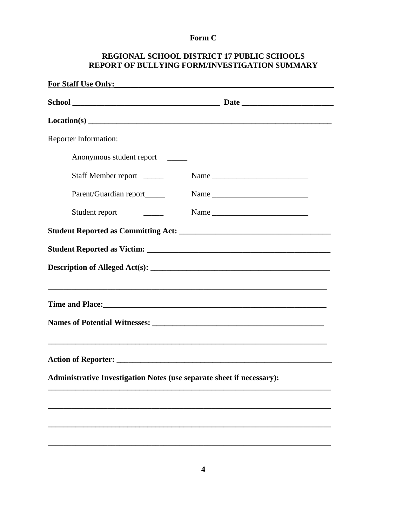# Form C

# REGIONAL SCHOOL DISTRICT 17 PUBLIC SCHOOLS REPORT OF BULLYING FORM/INVESTIGATION SUMMARY

| Reporter Information:                                                 |                             |
|-----------------------------------------------------------------------|-----------------------------|
| Anonymous student report                                              |                             |
| Staff Member report                                                   |                             |
| Parent/Guardian report_____                                           |                             |
| Student report<br><u> 1989 - Jan Jawa</u>                             |                             |
|                                                                       |                             |
|                                                                       |                             |
|                                                                       |                             |
|                                                                       |                             |
|                                                                       | Time and Place:<br><u> </u> |
|                                                                       |                             |
|                                                                       |                             |
|                                                                       |                             |
| Administrative Investigation Notes (use separate sheet if necessary): |                             |
|                                                                       |                             |
|                                                                       |                             |
|                                                                       |                             |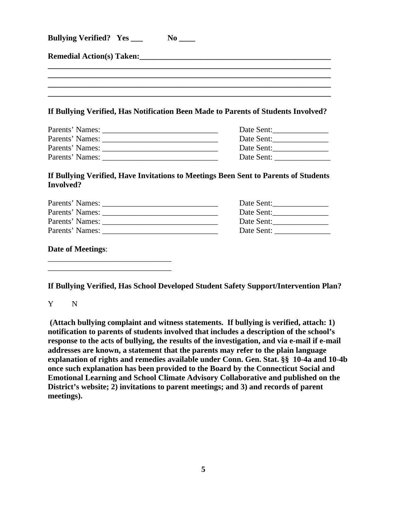| <b>Bullying Verified?</b> Yes ___                                                 | $No$ <sub>____</sub> |  |  |  |
|-----------------------------------------------------------------------------------|----------------------|--|--|--|
|                                                                                   |                      |  |  |  |
|                                                                                   |                      |  |  |  |
| If Bullying Verified, Has Notification Been Made to Parents of Students Involved? |                      |  |  |  |
|                                                                                   | Date Sent:           |  |  |  |
|                                                                                   | Date Sent:           |  |  |  |
|                                                                                   |                      |  |  |  |
|                                                                                   | Date Sent:           |  |  |  |

## **If Bullying Verified, Have Invitations to Meetings Been Sent to Parents of Students Involved?**

| Parents' Names: | Date Sent:                                                                                                                          |
|-----------------|-------------------------------------------------------------------------------------------------------------------------------------|
| Parents' Names: | Date Sent:                                                                                                                          |
| Parents' Names: | Date Sent:                                                                                                                          |
| Parents' Names: | Date Sent:<br><u> 1989 - Jan Sterling von Berling von Berling von Berling von Berling von Berling von Berling von Berling von B</u> |
|                 |                                                                                                                                     |

**Date of Meetings**:

\_\_\_\_\_\_\_\_\_\_\_\_\_\_\_\_\_\_\_\_\_\_\_\_\_\_\_\_\_\_\_ \_\_\_\_\_\_\_\_\_\_\_\_\_\_\_\_\_\_\_\_\_\_\_\_\_\_\_\_\_\_\_

**If Bullying Verified, Has School Developed Student Safety Support/Intervention Plan?**

Y N

**(Attach bullying complaint and witness statements. If bullying is verified, attach: 1) notification to parents of students involved that includes a description of the school's response to the acts of bullying, the results of the investigation, and via e-mail if e-mail addresses are known, a statement that the parents may refer to the plain language explanation of rights and remedies available under Conn. Gen. Stat. §§ 10-4a and 10-4b once such explanation has been provided to the Board by the Connecticut Social and Emotional Learning and School Climate Advisory Collaborative and published on the**  District's website; 2) invitations to parent meetings; and 3) and records of parent **meetings).**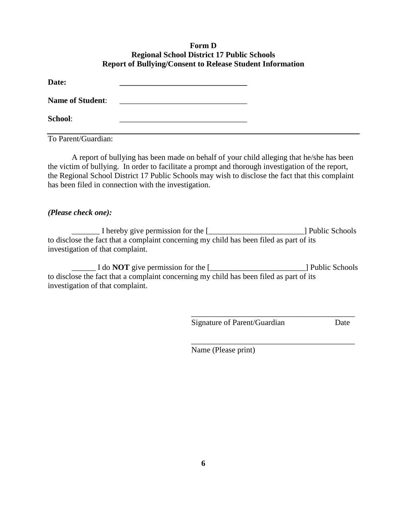## **Form D Regional School District 17 Public Schools Report of Bullying/Consent to Release Student Information**

| Date:                   |                                                        |  |
|-------------------------|--------------------------------------------------------|--|
| <b>Name of Student:</b> | <u> 1980 - Jan Barat, margaret al II-lea (b. 1980)</u> |  |
| <b>School:</b>          |                                                        |  |
| To Parent/Guardian:     |                                                        |  |

A report of bullying has been made on behalf of your child alleging that he/she has been the victim of bullying. In order to facilitate a prompt and thorough investigation of the report, the Regional School District 17 Public Schools may wish to disclose the fact that this complaint has been filed in connection with the investigation.

## *(Please check one):*

\_\_\_\_\_\_\_ I hereby give permission for the [\_\_\_\_\_\_\_\_\_\_\_\_\_\_\_\_\_\_\_\_\_\_\_\_] Public Schools to disclose the fact that a complaint concerning my child has been filed as part of its investigation of that complaint.

\_\_\_\_\_\_ I do **NOT** give permission for the [\_\_\_\_\_\_\_\_\_\_\_\_\_\_\_\_\_\_\_\_\_\_\_\_] Public Schools to disclose the fact that a complaint concerning my child has been filed as part of its investigation of that complaint.

Signature of Parent/Guardian Date

\_\_\_\_\_\_\_\_\_\_\_\_\_\_\_\_\_\_\_\_\_\_\_\_\_\_\_\_\_\_\_\_\_\_\_\_\_\_\_\_\_

\_\_\_\_\_\_\_\_\_\_\_\_\_\_\_\_\_\_\_\_\_\_\_\_\_\_\_\_\_\_\_\_\_\_\_\_\_\_\_\_\_

Name (Please print)